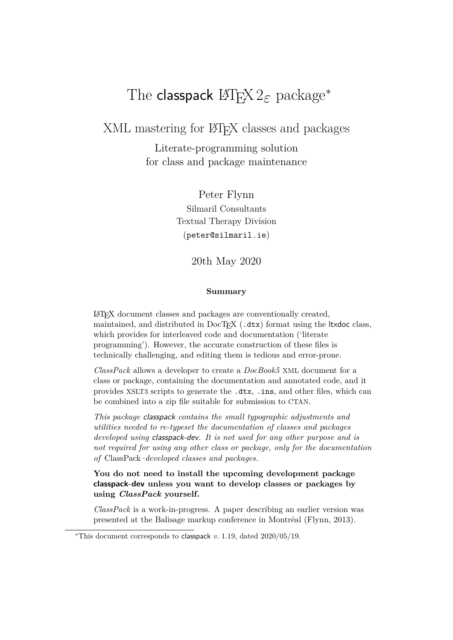# The classpack LATEX 2*ε* package*<sup>∗</sup>*

XML mastering for LAT<sub>EX</sub> classes and packages

Literate-programming solution for class and package maintenance

> Peter Flynn Silmaril Consultants Textual Therapy Division (peter@silmaril.ie)

> > 20th May 2020

#### **Summary**

LATEX document classes and packages are conventionally created, maintained, and distributed in  $DocTeX$  (.dtx) format using the ltxdoc class, which provides for interleaved code and documentation ('literate programming'). However, the accurate construction of these files is technically challenging, and editing them is tedious and error-prone.

*ClassPack* allows a developer to create a *DocBook5* XML document for a class or package, containing the documentation and annotated code, and it provides XSLT3 scripts to generate the .dtx, .ins, and other files, which can be combined into a zip file suitable for submission to CTAN.

*This package classpack contains the small typographic adjustments and utilities needed to re-typeset the documentation of classes and packages developed using classpack-dev. It is not used for any other purpose and is not required for using any other class or package, only for the documentation of* ClassPack*–developed classes and packages.*

**You do not need to install the upcoming development package classpack-dev unless you want to develop classes or packages by using** *ClassPack* **yourself.**

*ClassPack* is a work-in-progress. A paper describing an earlier version was presented at the Balisage markup conference in Montréal (Flynn, 2013).

*<sup>∗</sup>*This document corresponds to classpack *v.* 1.19, dated 2020/05/19.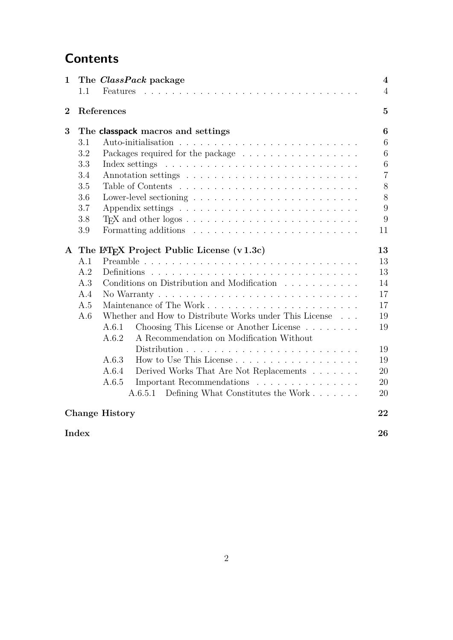# **Contents**

| $\mathbf 1$    |           | The <i>ClassPack</i> package                                                        | $\overline{\mathbf{4}}$ |
|----------------|-----------|-------------------------------------------------------------------------------------|-------------------------|
|                | $1.1\,$   | Features                                                                            | $\overline{4}$          |
| $\overline{2}$ |           | References                                                                          | $\mathbf{5}$            |
| 3              |           | The <b>classpack</b> macros and settings                                            | 6                       |
|                | 3.1       |                                                                                     | 6                       |
|                | $\!3.2\!$ | Packages required for the package                                                   | 6                       |
|                | 3.3       |                                                                                     | $\,6\,$                 |
|                | 3.4       |                                                                                     | $\overline{7}$          |
|                | 3.5       |                                                                                     | $8\,$                   |
|                | 3.6       |                                                                                     | 8                       |
|                | 3.7       |                                                                                     | 9                       |
|                | 3.8       |                                                                                     | 9                       |
|                | 3.9       |                                                                                     | 11                      |
| $\mathbf{A}$   |           | The IAT <sub>F</sub> X Project Public License $(v1.3c)$                             | 13                      |
|                | A.1       |                                                                                     | 13                      |
|                | A.2       |                                                                                     | 13                      |
|                | A.3       | Conditions on Distribution and Modification                                         | 14                      |
|                | A.4       | No Warranty $\ldots \ldots \ldots \ldots \ldots \ldots \ldots \ldots \ldots \ldots$ | 17                      |
|                | A.5       |                                                                                     | 17                      |
|                | A.6       | Whether and How to Distribute Works under This License                              | 19                      |
|                |           | Choosing This License or Another License<br>A.6.1                                   | 19                      |
|                |           | A Recommendation on Modification Without<br>A.6.2                                   |                         |
|                |           |                                                                                     | 19                      |
|                |           | A.6.3<br>How to Use This License                                                    | 19                      |
|                |           | A.6.4<br>Derived Works That Are Not Replacements                                    | 20                      |
|                |           | A.6.5<br>Important Recommendations                                                  | 20                      |
|                |           | Defining What Constitutes the Work<br>A.6.5.1                                       | 20                      |
|                |           | <b>Change History</b>                                                               | 22                      |
|                | Index     |                                                                                     | 26                      |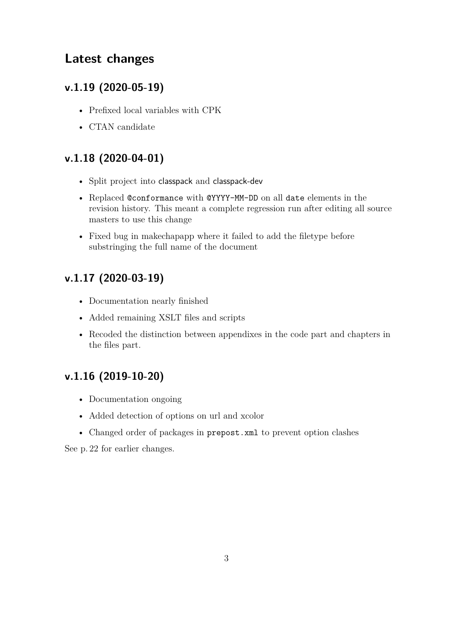## **Latest changes**

## **v.1.19 (2020-05-19)**

- Prefixed local variables with CPK
- CTAN candidate

## **v.1.18 (2020-04-01)**

- Split project into classpack and classpack-dev
- Replaced @conformance with @YYYY-MM-DD on all date elements in the revision history. This meant a complete regression run after editing all source masters to use this change
- Fixed bug in makechapapp where it failed to add the filetype before substringing the full name of the document

## **v.1.17 (2020-03-19)**

- Documentation nearly finished
- Added remaining XSLT files and scripts
- Recoded the distinction between appendixes in the code part and chapters in the files part.

## **v.1.16 (2019-10-20)**

- Documentation ongoing
- Added detection of options on url and xcolor
- Changed order of packages in prepost.xml to prevent option clashes

See p. 22 for earlier changes.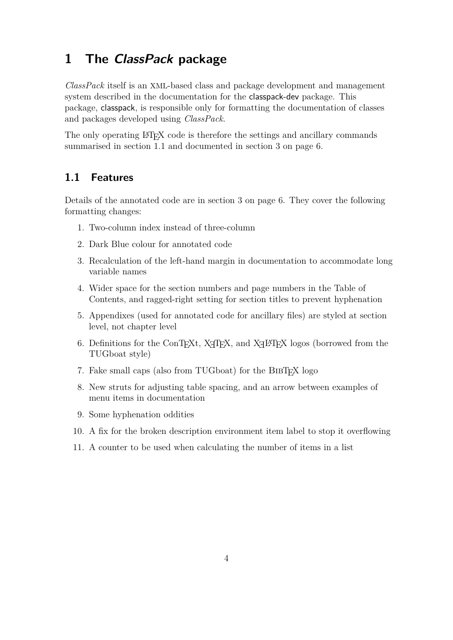# **1 The** *ClassPack* **package**

*ClassPack* itself is an XML-based class and package development and management system described in the documentation for the classpack-dev package. This package, classpack, is responsible only for formatting the documentation of classes and packages developed using *ClassPack*.

The only operating LAT<sub>EX</sub> code is therefore the settings and ancillary commands summarised in section 1.1 and documented in section 3 on page 6.

## **1.1 Features**

Details of the annotated code are in section 3 on page 6. They cover the following formatting changes:

- 1. Two-column index instead of three-column
- 2. Dark Blue colour for annotated code
- 3. Recalculation of the left-hand margin in documentation to accommodate long variable names
- 4. Wider space for the section numbers and page numbers in the Table of Contents, and ragged-right setting for section titles to prevent hyphenation
- 5. Appendixes (used for annotated code for ancillary files) are styled at section level, not chapter level
- 6. Definitions for the ConTEXt, X<sub>H</sub>TEX, and X<sub>H</sub>E<sub>R</sub>X logos (borrowed from the TUGboat style)
- 7. Fake small caps (also from TUGboat) for the BIBTEX logo
- 8. New struts for adjusting table spacing, and an arrow between examples of menu items in documentation
- 9. Some hyphenation oddities
- 10. A fix for the broken description environment item label to stop it overflowing
- 11. A counter to be used when calculating the number of items in a list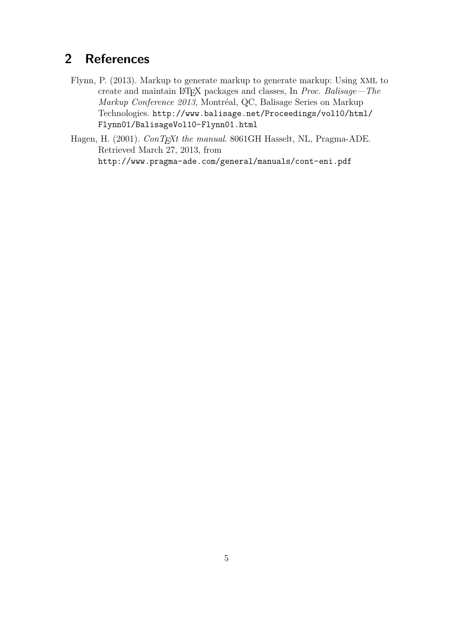# **2 References**

- Flynn, P. (2013). Markup to generate markup to generate markup: Using XML to create and maintain LATEX packages and classes, In *Proc. Balisage—The Markup Conference 2013*, Montréal, QC, Balisage Series on Markup Technologies. http://www.balisage.net/Proceedings/vol10/html/ Flynn01/BalisageVol10-Flynn01.html
- Hagen, H. (2001). *ConTEXt the manual*. 8061GH Hasselt, NL, Pragma-ADE. Retrieved March 27, 2013, from http://www.pragma-ade.com/general/manuals/cont-eni.pdf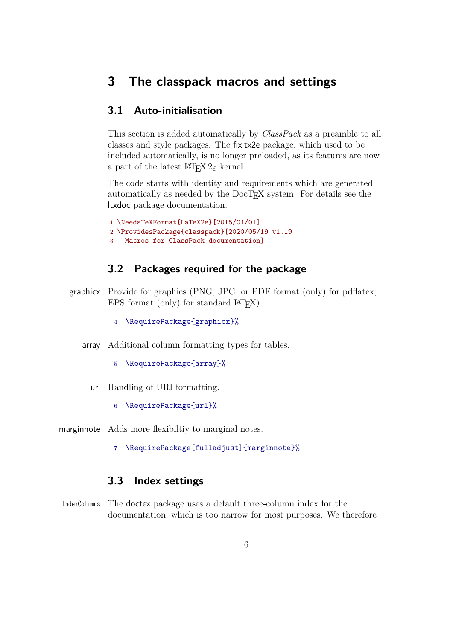## **3 The classpack macros and settings**

## **3.1 Auto-initialisation**

This section is added automatically by *ClassPack* as a preamble to all classes and style packages. The fixltx2e package, which used to be included automatically, is no longer preloaded, as its features are now a part of the latest  $\mathbb{F} \mathbb{F} \times 2_{\varepsilon}$  kernel.

The code starts with identity and requirements which are generated automatically as needed by the DocT<sub>EX</sub> system. For details see the ltxdoc package documentation.

1 \NeedsTeXFormat{LaTeX2e}[2015/01/01] 2 \ProvidesPackage{classpack}[2020/05/19 v1.19 3 Macros for ClassPack documentation]

#### **3.2 Packages required for the package**

- graphicx Provide for graphics (PNG, JPG, or PDF format (only) for pdflatex; EPS format (only) for standard  $\text{LFT}_F X$ ).
	- 4 \RequirePackage{graphicx}%
	- array Additional column formatting types for tables.
		- 5 \RequirePackage{array}%
		- url Handling of URI formatting.
			- 6 \RequirePackage{url}%

marginnote Adds more flexibiltiy to marginal notes.

7 \RequirePackage[fulladjust]{marginnote}%

## **3.3 Index settings**

IndexColumns The doctex package uses a default three-column index for the documentation, which is too narrow for most purposes. We therefore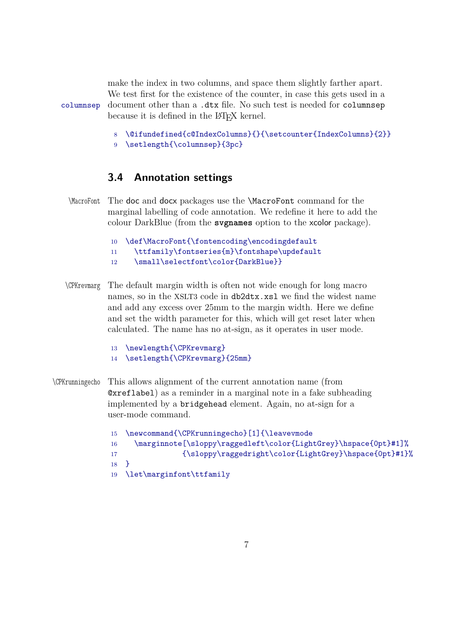make the index in two columns, and space them slightly farther apart. We test first for the existence of the counter, in case this gets used in a columnsep document other than a .dtx file. No such test is needed for columnsep because it is defined in the LAT<sub>EX</sub> kernel.

- 8 \@ifundefined{c@IndexColumns}{}{\setcounter{IndexColumns}{2}}
- 9 \setlength{\columnsep}{3pc}

#### **3.4 Annotation settings**

- \MacroFont The doc and docx packages use the \MacroFont command for the marginal labelling of code annotation. We redefine it here to add the colour DarkBlue (from the **svgnames** option to the xcolor package).
	- 10 \def\MacroFont{\fontencoding\encodingdefault
	- 11 \ttfamily\fontseries{m}\fontshape\updefault
	- 12 \small\selectfont\color{DarkBlue}}
- \CPKrevmarg The default margin width is often not wide enough for long macro names, so in the XSLT3 code in db2dtx.xsl we find the widest name and add any excess over 25mm to the margin width. Here we define and set the width parameter for this, which will get reset later when calculated. The name has no at-sign, as it operates in user mode.
	- 13 \newlength{\CPKrevmarg}
	- 14 \setlength{\CPKrevmarg}{25mm}
- \CPKrunningecho This allows alignment of the current annotation name (from @xreflabel) as a reminder in a marginal note in a fake subheading implemented by a bridgehead element. Again, no at-sign for a user-mode command.

 \newcommand{\CPKrunningecho}[1]{\leavevmode \marginnote[\sloppy\raggedleft\color{LightGrey}\hspace{0pt}#1]%  ${\sl{bpr\}ragger\cdots\{\in{LightGreg}\hspace{-0.1em}\hspace{-0.1em}t\}}$ 18 } \let\marginfont\ttfamily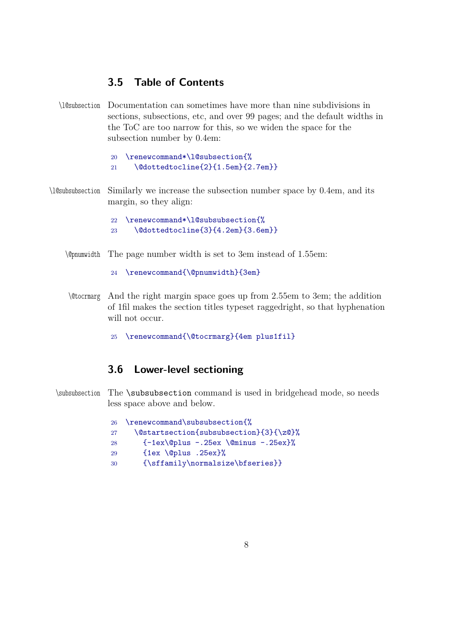## **3.5 Table of Contents**

\l@subsection Documentation can sometimes have more than nine subdivisions in sections, subsections, etc, and over 99 pages; and the default widths in the ToC are too narrow for this, so we widen the space for the subsection number by 0.4em:

```
20 \renewcommand*\l@subsection{%
21 \@dottedtocline{2}{1.5em}{2.7em}}
```
\l@subsubsection Similarly we increase the subsection number space by 0.4em, and its margin, so they align:

```
22 \renewcommand*\l@subsubsection{%
23 \@dottedtocline{3}{4.2em}{3.6em}}
```
- \@pnumwidth The page number width is set to 3em instead of 1.55em:
	- 24 \renewcommand{\@pnumwidth}{3em}
- \@tocrmarg And the right margin space goes up from 2.55em to 3em; the addition of 1fil makes the section titles typeset raggedright, so that hyphenation will not occur.
	- 25 \renewcommand{\@tocrmarg}{4em plus1fil}

### **3.6 Lower-level sectioning**

\subsubsection The \subsubsection command is used in bridgehead mode, so needs less space above and below.

| 26 <sup>2</sup> | \renewcommand\subsubsection{%                |
|-----------------|----------------------------------------------|
| 27              | \@startsection{subsubsection}{3}{\z@}%       |
| 28              | $\{-1ex\@plus -.25ex\@minus@minus -.25ex\}\$ |
| 29              | $\{1ex \quad \Diamond p1us .25ex\}\%$        |
| 30              | {\sffamily\normalsize\bfseries}}             |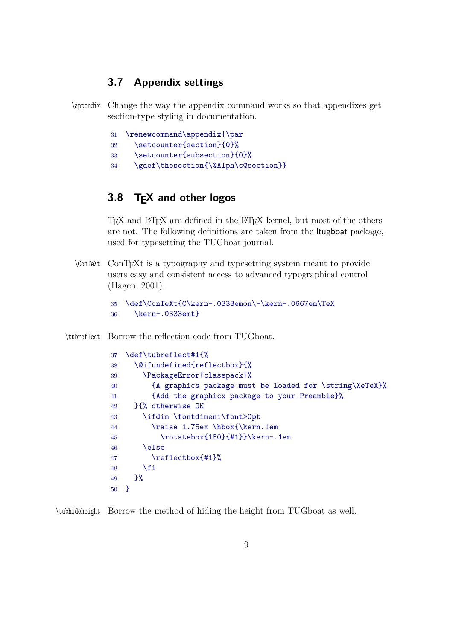### **3.7 Appendix settings**

\appendix Change the way the appendix command works so that appendixes get section-type styling in documentation.

|  | 31 \renewcommand\appendix{\par |  |
|--|--------------------------------|--|
|  |                                |  |

- \setcounter{section}{0}%
- \setcounter{subsection}{0}%
- \gdef\thesection{\@Alph\c@section}}

## **3.8 TEX and other logos**

TEX and LATEX are defined in the LATEX kernel, but most of the others are not. The following definitions are taken from the ltugboat package, used for typesetting the TUGboat journal.

\ConTeXt ConTEXt is a typography and typesetting system meant to provide users easy and consistent access to advanced typographical control (Hagen, 2001).

```
35 \def\ConTeXt{C\kern-.0333emon\-\kern-.0667em\TeX
36 \kern-.0333emt}
```
\tubreflect Borrow the reflection code from TUGboat.

```
37 \def\tubreflect#1{%
38 \@ifundefined{reflectbox}{%
39 \PackageError{classpack}%
40 {A graphics package must be loaded for \string\XeTeX}%
41 {Add the graphicx package to your Preamble}%
42 }{% otherwise OK
43 \ifdim \fontdimen1\font>0pt
44 \raise 1.75ex \hbox{\kern.1em
45 \rotatebox{180}{#1}}\kern-.1em
46 \else
47 \reflectbox{#1}%
48 \fi
49 }%
50 }
```
\tubhideheight Borrow the method of hiding the height from TUGboat as well.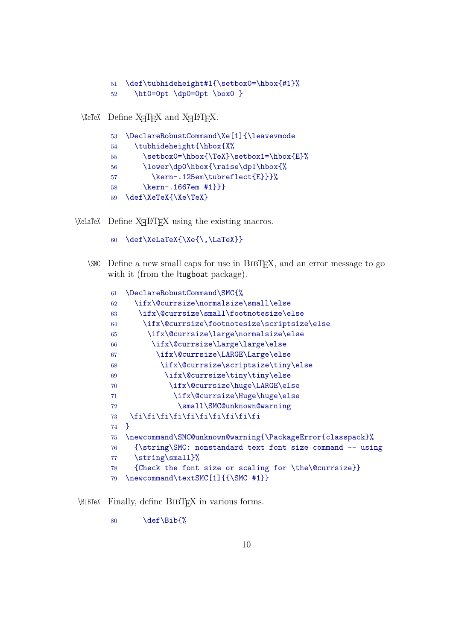```
51 \def\tubhideheight#1{\setbox0=\hbox{#1}%
```

```
52 \ht0=0pt \dp0=0pt \box0 }
```
\XeTeX Define  $X_{\overline{A}}T_{\overline{E}}X$  and  $X_{\overline{A}}T_{\overline{E}}X$ .

| 53  | \DeclareRobustCommand\Xe[1]{\leavevmode |
|-----|-----------------------------------------|
| 54  | \tubhideheight{\hbox{X%                 |
| 55  | \setbox0=\hbox{\TeX}\setbox1=\hbox{E}%  |
| 56  | \lower\dp0\hbox{\raise\dp1\hbox{%       |
| -57 | \kern-.125em\tubreflect{E}}}%           |
| 58  | \kern-.1667em #1}}}                     |
| 59  | \def\XeTeX{\Xe\TeX}                     |

 $\Delta$ ELaTeX Define  $X \rightarrow Y \rightarrow Y$  using the existing macros.

```
60 \def\XeLaTeX{\Xe{\,\LaTeX}}
```
\SMC Define a new small caps for use in BibTEX, and an error message to go with it (from the ltugboat package).

| 61 | \DeclareRobustCommand\SMC{%                               |
|----|-----------------------------------------------------------|
| 62 | \ifx\@currsize\normalsize\small\else                      |
| 63 | \ifx\@currsize\small\footnotesize\else                    |
| 64 | \ifx\@currsize\footnotesize\scriptsize\else               |
| 65 | \ifx\@currsize\large\normalsize\else                      |
| 66 | \ifx\@currsize\Large\large\else                           |
| 67 | \ifx\@currsize\LARGE\Large\else                           |
| 68 | \ifx\@currsize\scriptsize\tiny\else                       |
| 69 | \ifx\@currsize\tiny\tiny\else                             |
| 70 | \ifx\@currsize\huge\LARGE\else                            |
| 71 | \ifx\@currsize\Huge\huge\else                             |
| 72 | \small\SMC@unknown@warning                                |
| 73 | \fi\fi\fi\fi\fi\fi\fi\fi\fi\fi                            |
| 74 | 7                                                         |
| 75 | \newcommand\SMC@unknown@warning{\PackageError{classpack}% |
| 76 | {\string\SMC: nonstandard text font size command -- using |
| 77 | \string\small}%                                           |
| 78 | {Check the font size or scaling for \the\@currsize}}      |
| 79 | \newcommand\textSMC[1]{{\SMC #1}}                         |

\BIBTeX Finally, define BibTEX in various forms.

\def\Bib{%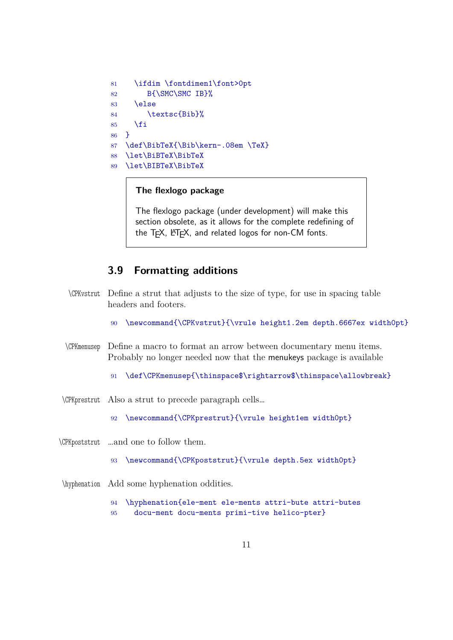```
81 \ifdim \fontdimen1\font>0pt
82 B{\SMC\SMC IB}%
83 \else
84 \textsc{Bib}%
85 \fi
86 }
87 \def\BibTeX{\Bib\kern-.08em \TeX}
88 \let\BiBTeX\BibTeX
89 \let\BIBTeX\BibTeX
```
#### **The flexlogo package**

The flexlogo package (under development) will make this section obsolete, as it allows for the complete redefining of the T<sub>F</sub>X, LAT<sub>F</sub>X, and related logos for non-CM fonts.

### **3.9 Formatting additions**

- \CPKvstrut Define a strut that adjusts to the size of type, for use in spacing table headers and footers.
	- 90 \newcommand{\CPKvstrut}{\vrule height1.2em depth.6667ex width0pt}
- \CPKmenusep Define a macro to format an arrow between documentary menu items. Probably no longer needed now that the menukeys package is available
	- 91 \def\CPKmenusep{\thinspace\$\rightarrow\$\thinspace\allowbreak}
- \CPKprestrut Also a strut to precede paragraph cells…
	- 92 \newcommand{\CPKprestrut}{\vrule height1em width0pt}
- \CPKpoststrut …and one to follow them.
	- 93 \newcommand{\CPKpoststrut}{\vrule depth.5ex width0pt}
- \hyphenation Add some hyphenation oddities.
	- 94 \hyphenation{ele-ment ele-ments attri-bute attri-butes 95 docu-ment docu-ments primi-tive helico-pter}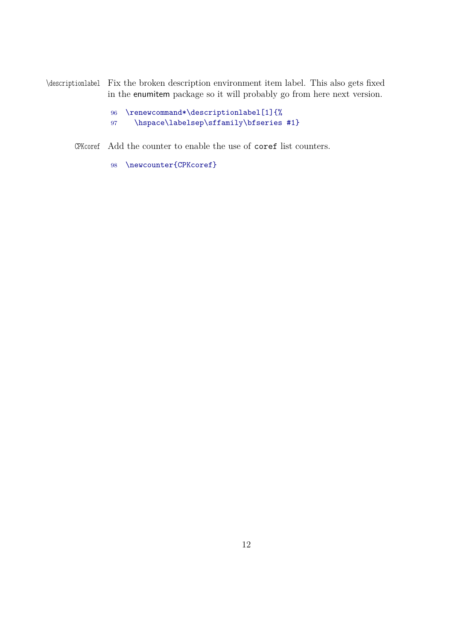\descriptionlabel Fix the broken description environment item label. This also gets fixed in the enumitem package so it will probably go from here next version.

- 96 \renewcommand\*\descriptionlabel[1]{%
- 97 \hspace\labelsep\sffamily\bfseries #1}

CPKcoref Add the counter to enable the use of coref list counters.

98 \newcounter{CPKcoref}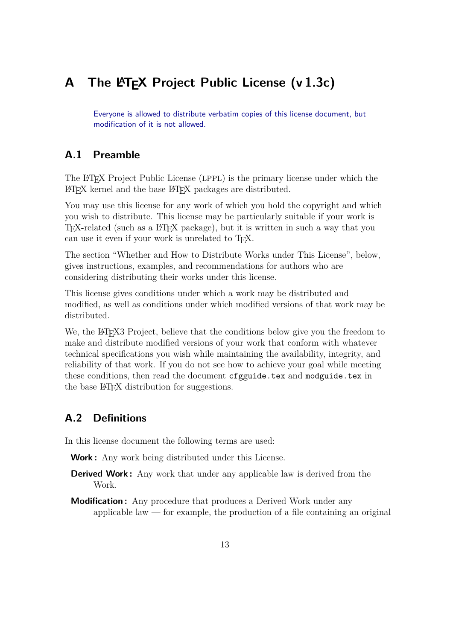## **A** The LATEX Project Public License (v 1.3c)

Everyone is allowed to distribute verbatim copies of this license document, but modification of it is not allowed.

## **A.1 Preamble**

The LATEX Project Public License (LPPL) is the primary license under which the LATEX kernel and the base LATEX packages are distributed.

You may use this license for any work of which you hold the copyright and which you wish to distribute. This license may be particularly suitable if your work is T<sub>EX</sub>-related (such as a LAT<sub>EX</sub> package), but it is written in such a way that you can use it even if your work is unrelated to T<sub>E</sub>X.

The section "Whether and How to Distribute Works under This License", below, gives instructions, examples, and recommendations for authors who are considering distributing their works under this license.

This license gives conditions under which a work may be distributed and modified, as well as conditions under which modified versions of that work may be distributed.

We, the LAT<sub>EX3</sub> Project, believe that the conditions below give you the freedom to make and distribute modified versions of your work that conform with whatever technical specifications you wish while maintaining the availability, integrity, and reliability of that work. If you do not see how to achieve your goal while meeting these conditions, then read the document cfgguide.tex and modguide.tex in the base LAT<sub>EX</sub> distribution for suggestions.

## **A.2 Definitions**

In this license document the following terms are used:

**Work :** Any work being distributed under this License.

- **Derived Work :** Any work that under any applicable law is derived from the Work.
- **Modification :** Any procedure that produces a Derived Work under any applicable law  $-$  for example, the production of a file containing an original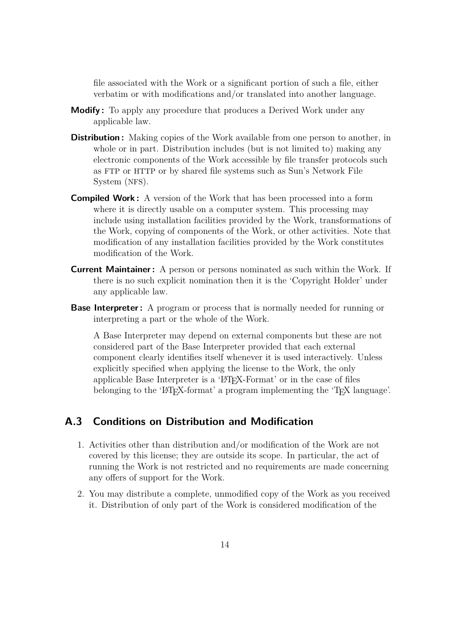file associated with the Work or a significant portion of such a file, either verbatim or with modifications and/or translated into another language.

- **Modify :** To apply any procedure that produces a Derived Work under any applicable law.
- **Distribution :** Making copies of the Work available from one person to another, in whole or in part. Distribution includes (but is not limited to) making any electronic components of the Work accessible by file transfer protocols such as FTP or HTTP or by shared file systems such as Sun's Network File System (NFS).
- **Compiled Work :** A version of the Work that has been processed into a form where it is directly usable on a computer system. This processing may include using installation facilities provided by the Work, transformations of the Work, copying of components of the Work, or other activities. Note that modification of any installation facilities provided by the Work constitutes modification of the Work.
- **Current Maintainer :** A person or persons nominated as such within the Work. If there is no such explicit nomination then it is the 'Copyright Holder' under any applicable law.
- **Base Interpreter:** A program or process that is normally needed for running or interpreting a part or the whole of the Work.

A Base Interpreter may depend on external components but these are not considered part of the Base Interpreter provided that each external component clearly identifies itself whenever it is used interactively. Unless explicitly specified when applying the license to the Work, the only applicable Base Interpreter is a 'LATEX-Format' or in the case of files belonging to the 'LAT<sub>EX</sub>-format' a program implementing the 'T<sub>EX</sub>' language'.

#### **A.3 Conditions on Distribution and Modification**

- 1. Activities other than distribution and/or modification of the Work are not covered by this license; they are outside its scope. In particular, the act of running the Work is not restricted and no requirements are made concerning any offers of support for the Work.
- 2. You may distribute a complete, unmodified copy of the Work as you received it. Distribution of only part of the Work is considered modification of the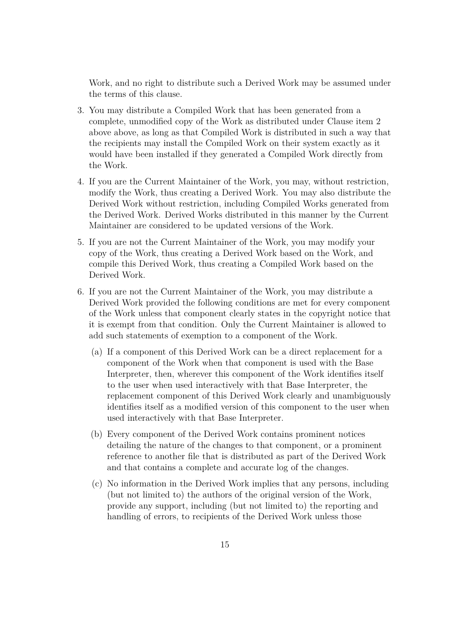Work, and no right to distribute such a Derived Work may be assumed under the terms of this clause.

- 3. You may distribute a Compiled Work that has been generated from a complete, unmodified copy of the Work as distributed under Clause item 2 above above, as long as that Compiled Work is distributed in such a way that the recipients may install the Compiled Work on their system exactly as it would have been installed if they generated a Compiled Work directly from the Work.
- 4. If you are the Current Maintainer of the Work, you may, without restriction, modify the Work, thus creating a Derived Work. You may also distribute the Derived Work without restriction, including Compiled Works generated from the Derived Work. Derived Works distributed in this manner by the Current Maintainer are considered to be updated versions of the Work.
- 5. If you are not the Current Maintainer of the Work, you may modify your copy of the Work, thus creating a Derived Work based on the Work, and compile this Derived Work, thus creating a Compiled Work based on the Derived Work.
- 6. If you are not the Current Maintainer of the Work, you may distribute a Derived Work provided the following conditions are met for every component of the Work unless that component clearly states in the copyright notice that it is exempt from that condition. Only the Current Maintainer is allowed to add such statements of exemption to a component of the Work.
	- (a) If a component of this Derived Work can be a direct replacement for a component of the Work when that component is used with the Base Interpreter, then, wherever this component of the Work identifies itself to the user when used interactively with that Base Interpreter, the replacement component of this Derived Work clearly and unambiguously identifies itself as a modified version of this component to the user when used interactively with that Base Interpreter.
	- (b) Every component of the Derived Work contains prominent notices detailing the nature of the changes to that component, or a prominent reference to another file that is distributed as part of the Derived Work and that contains a complete and accurate log of the changes.
	- (c) No information in the Derived Work implies that any persons, including (but not limited to) the authors of the original version of the Work, provide any support, including (but not limited to) the reporting and handling of errors, to recipients of the Derived Work unless those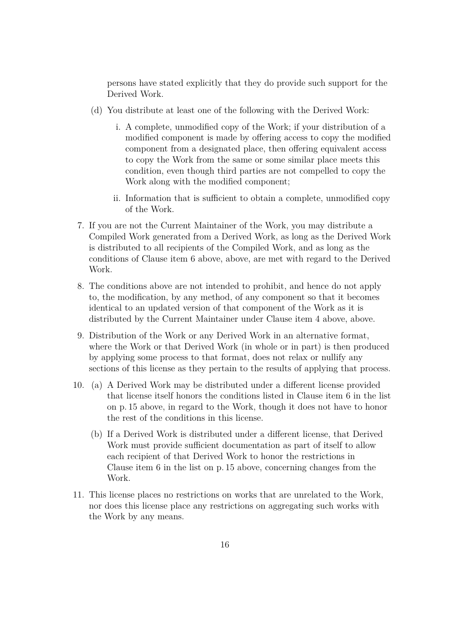persons have stated explicitly that they do provide such support for the Derived Work.

- (d) You distribute at least one of the following with the Derived Work:
	- i. A complete, unmodified copy of the Work; if your distribution of a modified component is made by offering access to copy the modified component from a designated place, then offering equivalent access to copy the Work from the same or some similar place meets this condition, even though third parties are not compelled to copy the Work along with the modified component;
	- ii. Information that is sufficient to obtain a complete, unmodified copy of the Work.
- 7. If you are not the Current Maintainer of the Work, you may distribute a Compiled Work generated from a Derived Work, as long as the Derived Work is distributed to all recipients of the Compiled Work, and as long as the conditions of Clause item 6 above, above, are met with regard to the Derived Work.
- 8. The conditions above are not intended to prohibit, and hence do not apply to, the modification, by any method, of any component so that it becomes identical to an updated version of that component of the Work as it is distributed by the Current Maintainer under Clause item 4 above, above.
- 9. Distribution of the Work or any Derived Work in an alternative format, where the Work or that Derived Work (in whole or in part) is then produced by applying some process to that format, does not relax or nullify any sections of this license as they pertain to the results of applying that process.
- 10. (a) A Derived Work may be distributed under a different license provided that license itself honors the conditions listed in Clause item 6 in the list on p. 15 above, in regard to the Work, though it does not have to honor the rest of the conditions in this license.
	- (b) If a Derived Work is distributed under a different license, that Derived Work must provide sufficient documentation as part of itself to allow each recipient of that Derived Work to honor the restrictions in Clause item 6 in the list on p. 15 above, concerning changes from the Work.
- 11. This license places no restrictions on works that are unrelated to the Work, nor does this license place any restrictions on aggregating such works with the Work by any means.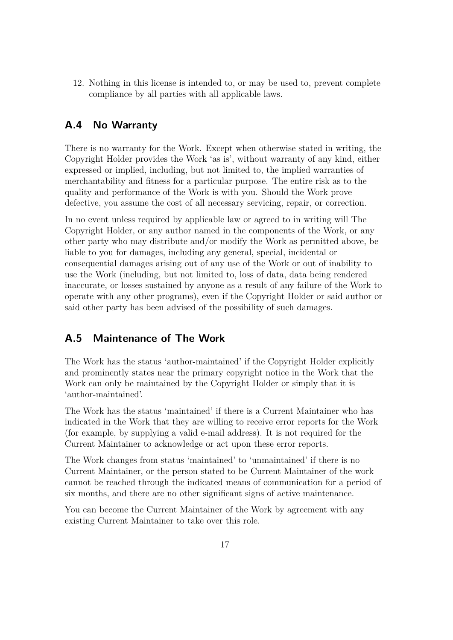12. Nothing in this license is intended to, or may be used to, prevent complete compliance by all parties with all applicable laws.

## **A.4 No Warranty**

There is no warranty for the Work. Except when otherwise stated in writing, the Copyright Holder provides the Work 'as is', without warranty of any kind, either expressed or implied, including, but not limited to, the implied warranties of merchantability and fitness for a particular purpose. The entire risk as to the quality and performance of the Work is with you. Should the Work prove defective, you assume the cost of all necessary servicing, repair, or correction.

In no event unless required by applicable law or agreed to in writing will The Copyright Holder, or any author named in the components of the Work, or any other party who may distribute and/or modify the Work as permitted above, be liable to you for damages, including any general, special, incidental or consequential damages arising out of any use of the Work or out of inability to use the Work (including, but not limited to, loss of data, data being rendered inaccurate, or losses sustained by anyone as a result of any failure of the Work to operate with any other programs), even if the Copyright Holder or said author or said other party has been advised of the possibility of such damages.

## **A.5 Maintenance of The Work**

The Work has the status 'author-maintained' if the Copyright Holder explicitly and prominently states near the primary copyright notice in the Work that the Work can only be maintained by the Copyright Holder or simply that it is 'author-maintained'.

The Work has the status 'maintained' if there is a Current Maintainer who has indicated in the Work that they are willing to receive error reports for the Work (for example, by supplying a valid e-mail address). It is not required for the Current Maintainer to acknowledge or act upon these error reports.

The Work changes from status 'maintained' to 'unmaintained' if there is no Current Maintainer, or the person stated to be Current Maintainer of the work cannot be reached through the indicated means of communication for a period of six months, and there are no other significant signs of active maintenance.

You can become the Current Maintainer of the Work by agreement with any existing Current Maintainer to take over this role.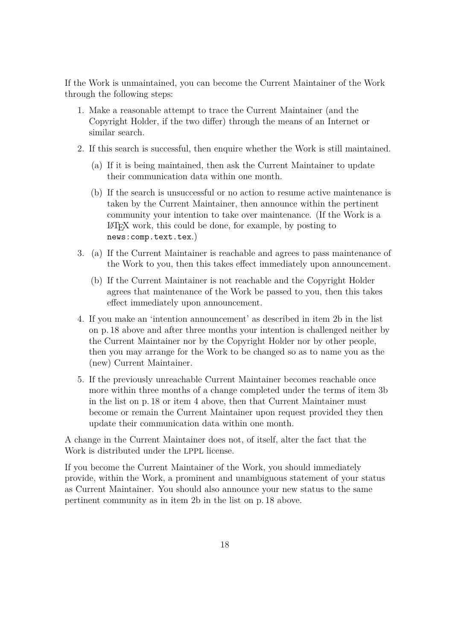If the Work is unmaintained, you can become the Current Maintainer of the Work through the following steps:

- 1. Make a reasonable attempt to trace the Current Maintainer (and the Copyright Holder, if the two differ) through the means of an Internet or similar search.
- 2. If this search is successful, then enquire whether the Work is still maintained.
	- (a) If it is being maintained, then ask the Current Maintainer to update their communication data within one month.
	- (b) If the search is unsuccessful or no action to resume active maintenance is taken by the Current Maintainer, then announce within the pertinent community your intention to take over maintenance. (If the Work is a LATEX work, this could be done, for example, by posting to news:comp.text.tex.)
- 3. (a) If the Current Maintainer is reachable and agrees to pass maintenance of the Work to you, then this takes effect immediately upon announcement.
	- (b) If the Current Maintainer is not reachable and the Copyright Holder agrees that maintenance of the Work be passed to you, then this takes effect immediately upon announcement.
- 4. If you make an 'intention announcement' as described in item 2b in the list on p. 18 above and after three months your intention is challenged neither by the Current Maintainer nor by the Copyright Holder nor by other people, then you may arrange for the Work to be changed so as to name you as the (new) Current Maintainer.
- 5. If the previously unreachable Current Maintainer becomes reachable once more within three months of a change completed under the terms of item 3b in the list on p. 18 or item 4 above, then that Current Maintainer must become or remain the Current Maintainer upon request provided they then update their communication data within one month.

A change in the Current Maintainer does not, of itself, alter the fact that the Work is distributed under the LPPL license.

If you become the Current Maintainer of the Work, you should immediately provide, within the Work, a prominent and unambiguous statement of your status as Current Maintainer. You should also announce your new status to the same pertinent community as in item 2b in the list on p. 18 above.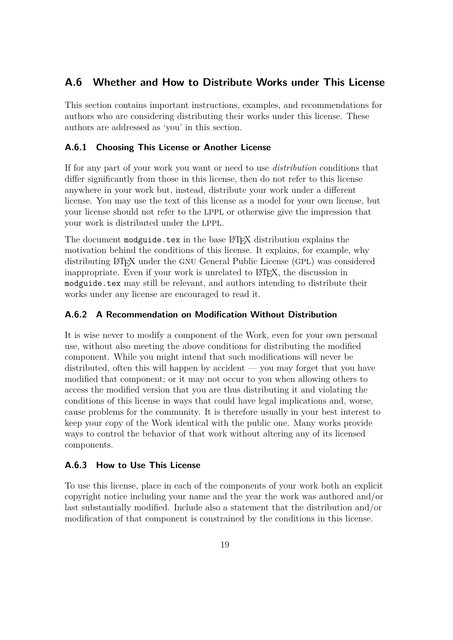## **A.6 Whether and How to Distribute Works under This License**

This section contains important instructions, examples, and recommendations for authors who are considering distributing their works under this license. These authors are addressed as 'you' in this section.

#### **A.6.1 Choosing This License or Another License**

If for any part of your work you want or need to use *distribution* conditions that differ significantly from those in this license, then do not refer to this license anywhere in your work but, instead, distribute your work under a different license. You may use the text of this license as a model for your own license, but your license should not refer to the LPPL or otherwise give the impression that your work is distributed under the LPPL.

The document modguide.tex in the base LAT<sub>EX</sub> distribution explains the motivation behind the conditions of this license. It explains, for example, why distributing LATEX under the GNU General Public License (GPL) was considered inappropriate. Even if your work is unrelated to LAT<sub>EX</sub>, the discussion in modguide.tex may still be relevant, and authors intending to distribute their works under any license are encouraged to read it.

#### **A.6.2 A Recommendation on Modification Without Distribution**

It is wise never to modify a component of the Work, even for your own personal use, without also meeting the above conditions for distributing the modified component. While you might intend that such modifications will never be distributed, often this will happen by accident — you may forget that you have modified that component; or it may not occur to you when allowing others to access the modified version that you are thus distributing it and violating the conditions of this license in ways that could have legal implications and, worse, cause problems for the community. It is therefore usually in your best interest to keep your copy of the Work identical with the public one. Many works provide ways to control the behavior of that work without altering any of its licensed components.

#### **A.6.3 How to Use This License**

To use this license, place in each of the components of your work both an explicit copyright notice including your name and the year the work was authored and/or last substantially modified. Include also a statement that the distribution and/or modification of that component is constrained by the conditions in this license.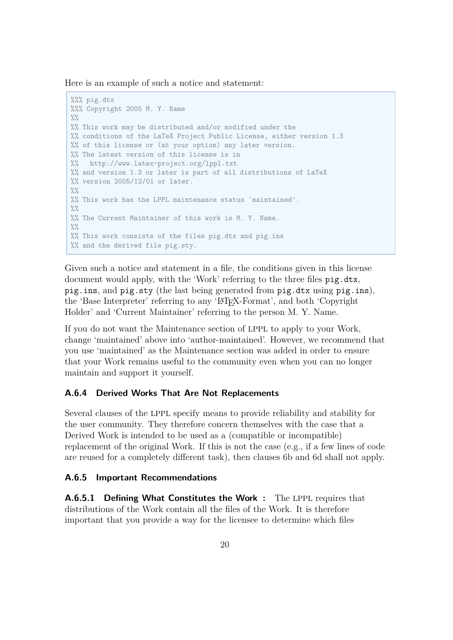Here is an example of such a notice and statement:

```
%%% pig.dtx
%%% Copyright 2005 M. Y. Name
\frac{0}{0}%
%% This work may be distributed and/or modified under the
%% conditions of the LaTeX Project Public License, either version 1.3
%% of this license or (at your option) any later version.
%% The latest version of this license is in
%% http://www.latex-project.org/lppl.txt
%% and version 1.3 or later is part of all distributions of LaTeX
%% version 2005/12/01 or later.
\frac{9}{9}%% This work has the LPPL maintenance status `maintained'.
\frac{9}{6}%% The Current Maintainer of this work is M. Y. Name.
\frac{0}{2}%
%% This work consists of the files pig.dtx and pig.ins
%% and the derived file pig.sty.
```
Given such a notice and statement in a file, the conditions given in this license document would apply, with the 'Work' referring to the three files pig.dtx, pig.ins, and pig.sty (the last being generated from pig.dtx using pig.ins), the 'Base Interpreter' referring to any 'LATEX-Format', and both 'Copyright Holder' and 'Current Maintainer' referring to the person M. Y. Name.

If you do not want the Maintenance section of LPPL to apply to your Work, change 'maintained' above into 'author-maintained'. However, we recommend that you use 'maintained' as the Maintenance section was added in order to ensure that your Work remains useful to the community even when you can no longer maintain and support it yourself.

#### **A.6.4 Derived Works That Are Not Replacements**

Several clauses of the LPPL specify means to provide reliability and stability for the user community. They therefore concern themselves with the case that a Derived Work is intended to be used as a (compatible or incompatible) replacement of the original Work. If this is not the case (e.g., if a few lines of code are reused for a completely different task), then clauses 6b and 6d shall not apply.

#### **A.6.5 Important Recommendations**

**A.6.5.1 Defining What Constitutes the Work :** The LPPL requires that distributions of the Work contain all the files of the Work. It is therefore important that you provide a way for the licensee to determine which files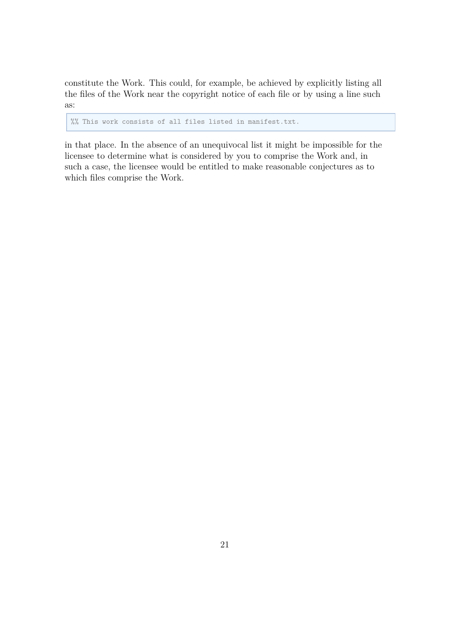constitute the Work. This could, for example, be achieved by explicitly listing all the files of the Work near the copyright notice of each file or by using a line such as:

%% This work consists of all files listed in manifest.txt.

in that place. In the absence of an unequivocal list it might be impossible for the licensee to determine what is considered by you to comprise the Work and, in such a case, the licensee would be entitled to make reasonable conjectures as to which files comprise the Work.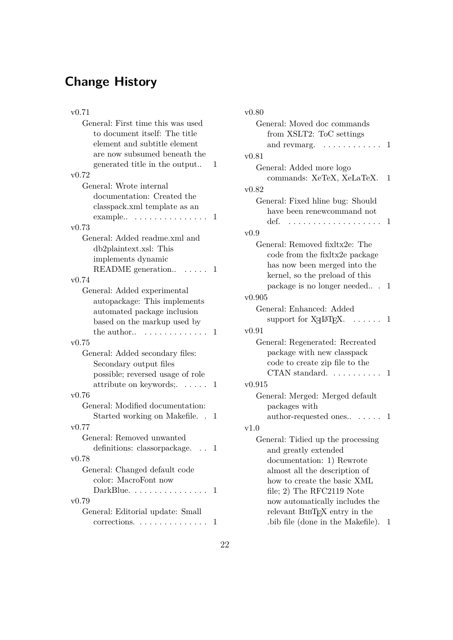# **Change History**

| v0.71                                                    |   |
|----------------------------------------------------------|---|
| General: First time this was used                        |   |
| to document itself: The title                            |   |
| element and subtitle element                             |   |
| are now subsumed beneath the                             |   |
| generated title in the output                            | 1 |
| v0.72                                                    |   |
| General: Wrote internal                                  |   |
| documentation: Created the                               |   |
| classpack.xml template as an                             |   |
| $example$ .<br>1.1.1.1.1.1.1                             | 1 |
| v0.73                                                    |   |
| General: Added readme.xml and                            |   |
| db2plaintext.xsl: This                                   |   |
| implements dynamic                                       |   |
| README generation                                        | 1 |
| v0.74                                                    |   |
| General: Added experimental                              |   |
| autopackage: This implements                             |   |
| automated package inclusion                              |   |
| based on the markup used by                              |   |
| the author                                               | 1 |
| v0.75                                                    |   |
|                                                          |   |
| General: Added secondary files:                          |   |
| Secondary output files                                   |   |
| possible; reversed usage of role                         |   |
| attribute on keywords; $\dots$                           | 1 |
| v0.76                                                    |   |
| General: Modified documentation:                         |   |
| Started working on Makefile.<br>$\overline{\phantom{a}}$ | 1 |
| v0.77                                                    |   |
| General: Removed unwanted                                |   |
| definitions: classorpackage.                             | 1 |
| v0.78                                                    |   |
| General: Changed default code                            |   |
| color: MacroFont now                                     |   |
| $DarkBlue. \ldots \ldots \ldots \ldots$                  | 1 |
| v(0.79)                                                  |   |
| General: Editorial update: Small                         |   |
| corrections                                              | 1 |
|                                                          |   |

| v0.80                                                                                      |     |
|--------------------------------------------------------------------------------------------|-----|
| General: Moved doc commands                                                                |     |
| from XSLT2: ToC settings                                                                   |     |
| $\ldots$ 1<br>and revmarg.<br>$\sim$ $\sim$ $\sim$ $\sim$<br>$\sim$ $\sim$ $\sim$          |     |
| v0.81                                                                                      |     |
| General: Added more logo                                                                   |     |
| commands: XeTeX, XeLaTeX.                                                                  | 1   |
| v0.82                                                                                      |     |
| General: Fixed hline bug: Should                                                           |     |
| have been renewcommand not                                                                 |     |
| def.                                                                                       | 1   |
| v0.9                                                                                       |     |
| General: Removed fixltx2e: The                                                             |     |
| code from the fixitx2e package                                                             |     |
| has now been merged into the                                                               |     |
| kernel, so the preload of this                                                             |     |
| package is no longer needed 1                                                              |     |
| v0.905                                                                                     |     |
| General: Enhanced: Added                                                                   |     |
| support for $X_{\overline{A}} \mathbb{I} \mathbb{I} \mathbb{F} \mathbb{I} \mathbb{I}$ .  1 |     |
| v0.91                                                                                      |     |
| General: Regenerated: Recreated                                                            |     |
| package with new classpack                                                                 |     |
| code to create zip file to the                                                             |     |
| CTAN standard. $\ldots$ .<br>$\ldots$ 1                                                    |     |
| v0.915                                                                                     |     |
| General: Merged: Merged default                                                            |     |
| packages with                                                                              |     |
| author-requested ones                                                                      | . 1 |
| v1.0                                                                                       |     |
| General: Tidied up the processing                                                          |     |
| and greatly extended                                                                       |     |
| documentation: 1) Rewrote                                                                  |     |
| almost all the description of                                                              |     |
| how to create the basic XML                                                                |     |
| file; $2)$ The RFC2119 Note                                                                |     |
| now automatically includes the                                                             |     |
| relevant BIBTFX entry in the                                                               |     |
| bib file (done in the Makefile).                                                           | 1   |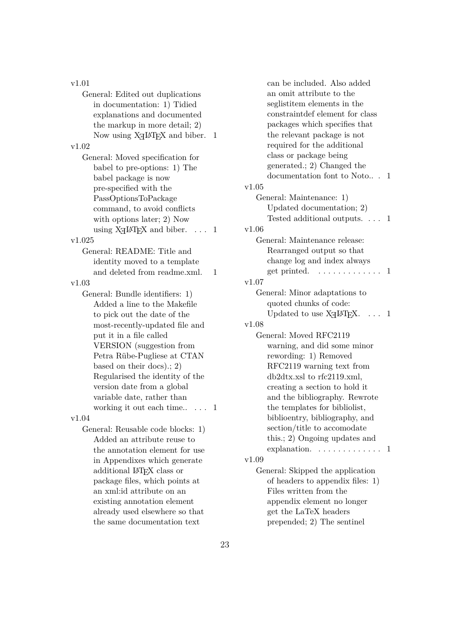v1.01 General: Edited out duplications in documentation: 1) Tidied explanations and documented the markup in more detail; 2) Now using  $X \rightarrow Y$  and biber. 1 v1.02 General: Moved specification for babel to pre-options: 1) The babel package is now pre-specified with the PassOptionsToPackage command, to avoid conflicts with options later; 2) Now using  $X \rightarrow E X$  and biber.  $\ldots$  1 v1.025 General: README: Title and identity moved to a template and deleted from readme.xml. 1 v1.03 General: Bundle identifiers: 1) Added a line to the Makefile to pick out the date of the most-recently-updated file and put it in a file called VERSION (suggestion from Petra Rübe-Pugliese at CTAN based on their docs).; 2) Regularised the identity of the version date from a global variable date, rather than working it out each time..... 1 v1.04 General: Reusable code blocks: 1) Added an attribute reuse to the annotation element for use in Appendixes which generate additional LATEX class or package files, which points at an xml:id attribute on an existing annotation element already used elsewhere so that the same documentation text

can be included. Also added an omit attribute to the seglistitem elements in the constraintdef element for class packages which specifies that the relevant package is not required for the additional class or package being generated.; 2) Changed the documentation font to Noto.. . 1 v1.05 General: Maintenance: 1) Updated documentation; 2) Tested additional outputs. . . . 1 v1.06 General: Maintenance release: Rearranged output so that change log and index always get printed. . . . . . . . . . . . . . 1 v1.07 General: Minor adaptations to quoted chunks of code: Updated to use  $X_{\text{H}} \text{LATEX}. \dots 1$ v1.08 General: Moved RFC2119 warning, and did some minor rewording: 1) Removed RFC2119 warning text from db2dtx.xsl to rfc2119.xml, creating a section to hold it and the bibliography. Rewrote the templates for bibliolist, biblioentry, bibliography, and section/title to accomodate this.; 2) Ongoing updates and explanation. . . . . . . . . . . . . . 1 v1.09 General: Skipped the application of headers to appendix files: 1) Files written from the appendix element no longer get the LaTeX headers

prepended; 2) The sentinel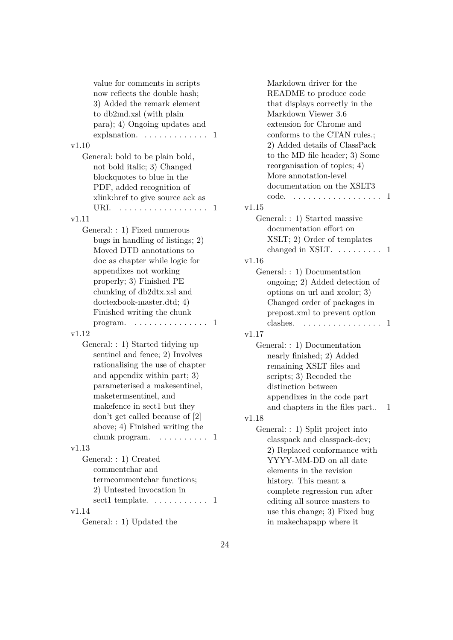Markdown driver for the README to produce code that displays correctly in the Markdown Viewer 3.6 extension for Chrome and conforms to the CTAN rules.; 2) Added details of ClassPack to the MD file header; 3) Some reorganisation of topics; 4) More annotation-level documentation on the XSLT3 code. . . . . . . . . . . . . . . . . . 1 v1.15 General: : 1) Started massive documentation effort on XSLT; 2) Order of templates changed in XSLT.  $\dots \dots \dots 1$ v1.16 General: : 1) Documentation ongoing; 2) Added detection of options on url and xcolor; 3) Changed order of packages in prepost.xml to prevent option clashes. . . . . . . . . . . . . . . . 1 v1.17 General: : 1) Documentation nearly finished; 2) Added remaining XSLT files and scripts; 3) Recoded the distinction between appendixes in the code part and chapters in the files part.. 1 v1.18 General: : 1) Split project into classpack and classpack-dev; 2) Replaced conformance with YYYY-MM-DD on all date elements in the revision history. This meant a complete regression run after editing all source masters to use this change; 3) Fixed bug in makechapapp where it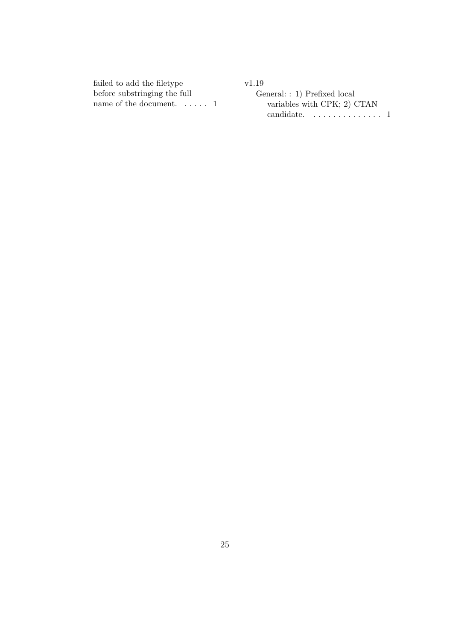failed to add the filetype before substringing the full name of the document. ..... 1 v1.19 General: : 1) Prefixed local variables with CPK; 2) CTAN candidate. . . . . . . . . . . . . . 1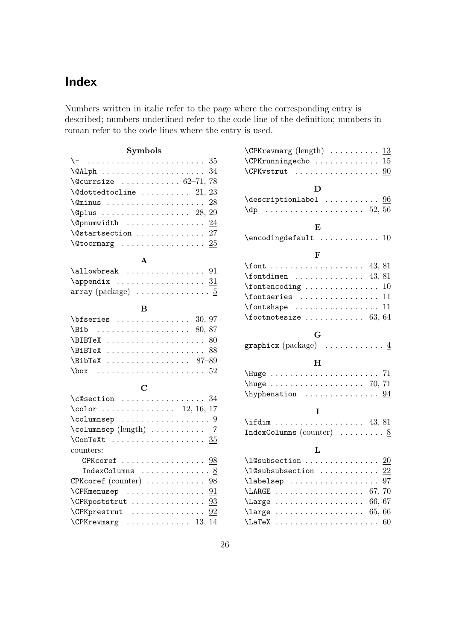# **Index**

Numbers written in italic refer to the page where the corresponding entry is described; numbers underlined refer to the code line of the definition; numbers in roman refer to the code lines where the entry is used.

### **Symbols**

| $\setminus$ -  35                                                    |  |
|----------------------------------------------------------------------|--|
|                                                                      |  |
| $\text{Quarsize}$ 62-71, 78                                          |  |
| $\texttt{\textbackslash@dottedtocline}\ \ldots\ldots\ldots\ 21,\,23$ |  |
|                                                                      |  |
| $\Q$ plus  28, 29                                                    |  |
| $\qquad$                                                             |  |
| $\setminus$ @startsection  27                                        |  |
| \@tocrmarg $\underline{25}$                                          |  |
|                                                                      |  |

#### **A**

| $array (package) \dots \dots \dots \dots 5$ |  |  |  |  |  |  |  |  |
|---------------------------------------------|--|--|--|--|--|--|--|--|

#### **B**

| $\Delta$ 80, 87                                        |  |  |  |  |  |  |  |  |  |  |
|--------------------------------------------------------|--|--|--|--|--|--|--|--|--|--|
|                                                        |  |  |  |  |  |  |  |  |  |  |
|                                                        |  |  |  |  |  |  |  |  |  |  |
| $\Delta$ 87-89                                         |  |  |  |  |  |  |  |  |  |  |
| $\text{box} \quad \ldots \quad \ldots \quad \text{52}$ |  |  |  |  |  |  |  |  |  |  |

## **C**

| $\csc$ as $34$                                                                                                                                                                                                                                                                                                                                                                                                         |  |
|------------------------------------------------------------------------------------------------------------------------------------------------------------------------------------------------------------------------------------------------------------------------------------------------------------------------------------------------------------------------------------------------------------------------|--|
| $\cdot 12, 16, 17$                                                                                                                                                                                                                                                                                                                                                                                                     |  |
| $\column{1}{\column{1}{\column{1}{\column{1}{\column{1}{\column{1}{\column{1}{\column{1}{\column{1}{\column{1}{\column{1}{\column{1}{\column{1}{\column{1}{\column{1}{\column{1}{\column{1}{\column{1}{\column{1}{\column{1}{\column{1}{\column{1}{\column{1}{\column{1}{\column{1}{\column{1}{\column{1}{\column{1}{\column{1}{\column{1}{\column{1}{\column{1}{\column{1}{\column{1}{\column{1}{\column{1}{\column{$ |  |
|                                                                                                                                                                                                                                                                                                                                                                                                                        |  |
|                                                                                                                                                                                                                                                                                                                                                                                                                        |  |
| counters:                                                                                                                                                                                                                                                                                                                                                                                                              |  |
| CPK coref $\ldots \ldots \ldots \ldots \ldots 98$                                                                                                                                                                                                                                                                                                                                                                      |  |
| IndexColumns  8                                                                                                                                                                                                                                                                                                                                                                                                        |  |
| CPK coref $\left(\text{counter}\right)$ $98$                                                                                                                                                                                                                                                                                                                                                                           |  |
| $\C$ PKmenusep 91                                                                                                                                                                                                                                                                                                                                                                                                      |  |
| \CPKpoststrut  93                                                                                                                                                                                                                                                                                                                                                                                                      |  |
| $\CPPKprestrut \ldots \ldots \ldots \ 92$                                                                                                                                                                                                                                                                                                                                                                              |  |
| $\Gamma$ . The VER revealing $\ldots$ 13, 14                                                                                                                                                                                                                                                                                                                                                                           |  |

| $\verb \CPKrunningecho   \dots 0.15 $                                           |                  |
|---------------------------------------------------------------------------------|------------------|
|                                                                                 |                  |
| D                                                                               |                  |
| $\texttt{descriptionlabel} \dots \dots \dots \dots \underline{96}$              |                  |
|                                                                                 |                  |
| $\bf{E}$                                                                        |                  |
| $\encoding default \dots \dots \dots 10$                                        |                  |
|                                                                                 |                  |
| ${\bf F}$                                                                       |                  |
|                                                                                 |                  |
| $\forall$ fontdimen  43, 81                                                     |                  |
| $\verb+\fontencoding + \dots + \dots + 10$                                      |                  |
|                                                                                 |                  |
|                                                                                 |                  |
| $\setminus$ footnotesize  63, 64                                                |                  |
| G.                                                                              |                  |
| graphicx (package) $\dots \dots \dots \dots$                                    |                  |
| Н                                                                               |                  |
|                                                                                 |                  |
| $\hbox{\tt huge} \ldots \ldots \ldots \ldots \ldots 70, 71$                     |                  |
|                                                                                 |                  |
|                                                                                 |                  |
| T                                                                               |                  |
|                                                                                 |                  |
| IndexColumns (counter) $\ldots \ldots \ldots \frac{8}{5}$                       |                  |
|                                                                                 |                  |
| L                                                                               |                  |
| $\lambda$ 20                                                                    |                  |
| \l@subsubsection                                                                | $\underline{22}$ |
| \labelsep                                                                       | 97               |
|                                                                                 |                  |
| $\langle \text{Large } \ldots \ldots \ldots \ldots \ldots \quad 66, 67 \rangle$ |                  |
|                                                                                 |                  |
|                                                                                 | 60               |